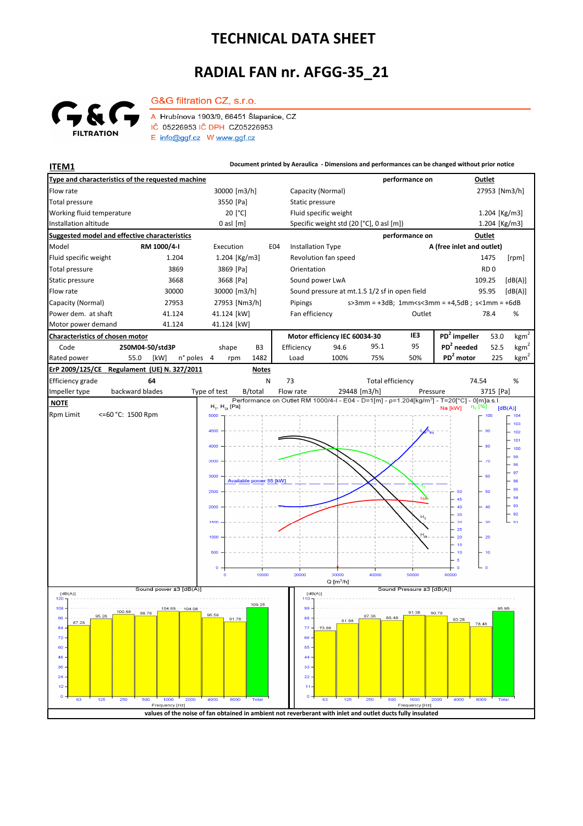## **TECHNICAL DATA SHEET**

## **RADIAL FAN nr. AFGG-35\_21**



G&G filtration CZ, s.r.o. A Hrubínova 1903/9, 66451 Šlapanice, CZ

IČ 05226953 IČ DPH CZ05226953  $E$  info@ggf.cz W www.ggf.cz

**ITEM1 Document printed by Aeraulica** - Dimensions and performances can be changed without prior notice **Type and characteristics of the requested machine performance on Outlet** Flow rate 30000 [m3/h] Capacity (Normal) 27953 [Nm3/h] 30000 [m3/h] 27953 [Nm3/h] [Pa] Static pressure Total pressure Working fluid temperature 20<sup>[°</sup>C] Fluid specific weight 1.204 [Kg/m3] Installation altitude 0 asl [m] Specific weight std (20 [°C], 0 asl [m]) Specific weight std (20 [°C], 0 asl [m]) 1.204 [Kg/m3] **Suggested model and effective characteristics performance on Outlet** Model **RM 1000/4-I** Execution E04 Installation Type **A (free inlet and outlet)** Fluid specific weight 1.204 1.204 [Kg/m3] Revolution fan speed 1475 [rpm] Total pressure 3869 3869 [Pa] Orientation **RD** 0 Static pressure 3668 3668 [Pa] Sound power LwA 109.25 [dB(A)] Flow rate 30000 30000 30000 [m3/h] Sound pressure at mt.1.5 1/2 sf in open field 95.95 [dB(A)] Capacity (Normal) 27953 27953 [Nm3/h] s>3mm = +3dB; 1mm<s<3mm = +4,5dB ; s<1mm = +6dB Pipings Power dem. at shaft 41.124 41.124 41.124 [kW] Fan efficiency Cutlet 78.4 % 78.4 Motor power demand 41.124 41.124 [kW] **Characteristics of chosen motor Motor efficiency IEC 60034-30 IE3 PD<sup>2</sup> impeller** 53.0  $kgm<sup>2</sup>$ Code **250M04-50/std3P PD<sup>2</sup> needed** 52.5 shape B3 Efficiency 94.6 95.1 95 kgm n° poles 4 rpm 1482 | Load 100% 75% 50% | PD<sup>2</sup> motor 225 kgm<sup>2</sup> Rated power 55.0 [kW] 4 1482 Load 100% 75% 50% **PD<sup>2</sup> ErP 2009/125/CE Regulament (UE) N. 327/2011 Notes** Efficiency grade **64** 74.54 N 73 Total efficiency 74.54 % backward blades Impeller type backward blades Type of test B/total Flow rate 29448 [m3/h] Pressure 3715 [Pa]  **NOTE**  $H<sub>xx</sub> H<sub>xx</sub>$  [Pa] Na [kW]  $[dB(A)]$ Rpm Limit <=60 °C: 1500 Rpm 5000 100 103 4500 90  $102$ 101 400 80 100 99  $\lambda$  $98$  $\overline{a}$ 300) .<br>er Available power 55 **IkW** 96  $-95$ 2500 50 60  $\overline{\phantom{0}}$  94 45  $\frac{1}{2}$  93  $40$  $\begin{bmatrix} 92 \\ 91 \end{bmatrix}$ 35  $\overline{30}$  $\overline{\mathbf{36}}$  $1500$  $\overline{25}$  $\overline{20}$  $\overline{\mathcal{L}}$  $\overline{15}$  $10$  $-10$ 10000 20000  $40000$  $50000$ conoc  $Q$  [m<sup>3</sup>/h] Sound power +3 [dB(A)] Sound Pressure ±3 [dB(A)]  $[dB(A)]$ <br>120 - $[dB(A)]$ 109.25  $108$ 104.08  $100.68$ 98.78 91.38 90.78 96.58 95.28 88  $96$  $91.78$ 83.28 81.98  $87.28$ 78.48  $\overline{77}$ 8.  $\overline{7}$ 66 60 55  $\overline{AB}$  $\overline{44}$  $36$ 33  $\overline{2}$  $\overline{22}$  $\overline{1}$  $\mathbf{A}$  $\overline{a}$ Fred y [Hz y [Hz] **values of the noise of fan obtained in ambient not reverberant with inlet and outlet ducts fully insulated**